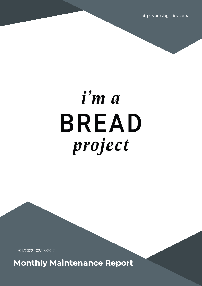https://broslogistics.com/

# i'm a **BREAD** project

02/01/2022 - 02/28/2022

**Monthly Maintenance Report**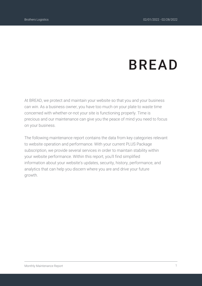# **BREAD**

At BREAD, we protect and maintain your website so that you and your business can win. As a business owner, you have too much on your plate to waste time concerned with whether-or-not your site is functioning properly. Time is precious and our maintenance can give you the peace of mind you need to focus on your business.

The following maintenance report contains the data from key categories relevant to website operation and performance. With your current PLUS Package subscription, we provide several services in order to maintain stability within your website performance. Within this report, you'll find simplified information about your website's updates, security, history, performance, and analytics that can help you discern where you are and drive your future growth.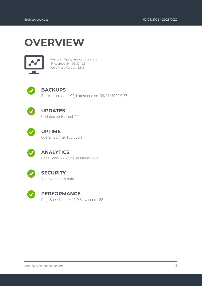## **OVERVIEW**



Website: https://broslogistics.com/ IP Address: 34.105.30.128 WordPress Version: 5.8.3



#### **BACKUPS**

Backups created: 92; Latest one on: 03/01/2022 9:27



#### **UPDATES**

Updates performed: 11



#### **UPTIME**

Overall uptime: 100.000%



#### **ANALYTICS**

Pageviews: 275; Site sessions: 123



#### **SECURITY**

Your website is safe



#### **PERFORMANCE**

PageSpeed score: 96; YSlow score: 88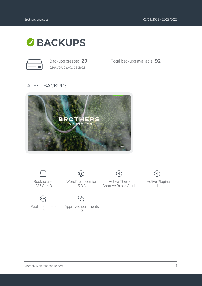

*02/01/2022 to 02/28/2022*

Backups created: **29** Total backups available: **92**

#### LATEST BACKUPS





Backup size 285.84MB



WordPress version 5.8.3

 $\mathbf W$ 

Approved comments  $\bigcap$ 

 $\bf{(i)}$ Active Theme Creative Bread Studio



Active Plugins 14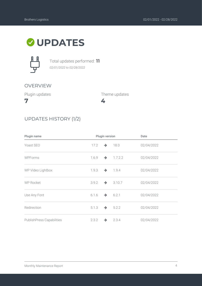### **UPDATES**



Total updates performed: **11** *02/01/2022 to 02/28/2022*

#### OVERVIEW

Plugin updates

**7**

Theme updates

**4**



| Plugin name               | Plugin version |               | Date                  |            |
|---------------------------|----------------|---------------|-----------------------|------------|
| Yoast SEO                 | 17.2           | $\rightarrow$ | 18.0                  | 02/04/2022 |
| <b>WPForms</b>            | 1.6.9          |               | $\rightarrow$ 1.7.2.2 | 02/04/2022 |
| WP Video Lightbox         | 1.9.3          |               | $\rightarrow$ 1.9.4   | 02/04/2022 |
| <b>WP Rocket</b>          | 3.9.2          |               | $\rightarrow$ 3.10.7  | 02/04/2022 |
| Use Any Font              | 6.1.6          | $\rightarrow$ | 6.2.1                 | 02/04/2022 |
| Redirection               | 5.1.3          |               | $\rightarrow 5.2.2$   | 02/04/2022 |
| PublishPress Capabilities | 2.3.2          |               | $\rightarrow$ 2.3.4   | 02/04/2022 |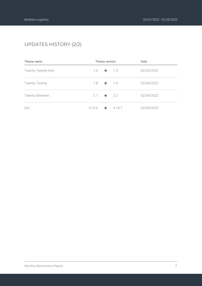#### UPDATES HISTORY (2/2)

| Theme name               | Theme version |                       |                   | Date       |  |
|--------------------------|---------------|-----------------------|-------------------|------------|--|
| <b>Twenty Twenty-One</b> | 1.4           |                       | $\rightarrow$ 1.5 | 02/04/2022 |  |
| <b>Twenty Twenty</b>     | 1.8           |                       | $\rightarrow$ 1.9 | 02/04/2022 |  |
| <b>Twenty Nineteen</b>   |               | $2.1 \rightarrow 2.2$ |                   | 02/04/2022 |  |
| Divi                     | 4.10.6        | $\rightarrow$         | 4.14.7            | 02/04/2022 |  |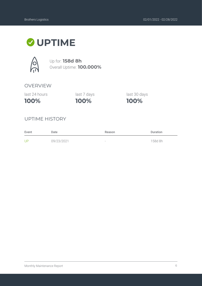### **UPTIME**



Up for: **158d 8h** Overall Uptime: **100.000%**

#### OVERVIEW

last 24 hours

**100%**

**100%** last 7 days last 30 days

**100%**

#### UPTIME HISTORY

| Event | Date       | Reason                   | <b>Duration</b> |
|-------|------------|--------------------------|-----------------|
| UP    | 09/23/2021 | $\overline{\phantom{a}}$ | 158d 8h         |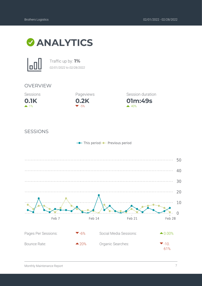



Traffic up by: **1%** *02/01/2022 to 02/28/2022*

#### OVERVIEW





**01m:49s** Session duration  $40%$ 

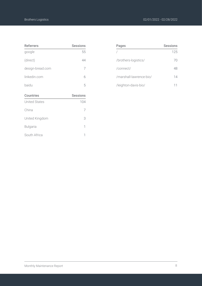| <b>Referrers</b> | <b>Sessions</b> |
|------------------|-----------------|
| google           | 55              |
| (direct)         | 44              |
| design-bread.com | 7               |
| linkedin.com     | б               |
| baidu            | 5               |
| <b>Countries</b> | <b>Sessions</b> |

| <b>UUULUIT</b> U | <b>JESSIUIIS</b> |
|------------------|------------------|
| United States    | 104              |
| China            |                  |
| United Kingdom   | 3                |
| <b>Bulgaria</b>  | 1                |
| South Africa     |                  |

| Pages                   | <b>Sessions</b> |
|-------------------------|-----------------|
|                         | 125             |
| /brothers-logistics/    | 70              |
| /connect/               | 48              |
| /marshall-lawrence-bio/ | 14              |
| /leighton-davis-bio/    |                 |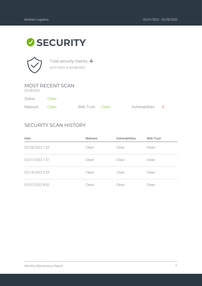# **SECURITY**



Total security checks: **4** *02/01/2022 to 02/28/2022*

#### MOST RECENT SCAN

*02/28/2022*

| Status:        | Clean |                  |                    |  |
|----------------|-------|------------------|--------------------|--|
| Malware: Clean |       | Web Trust: Clean | Vulnerabilities: 0 |  |

#### SECURITY SCAN HISTORY

| Date            | Malware | <b>Vulnerabilities</b> | <b>Web Trust</b> |
|-----------------|---------|------------------------|------------------|
| 02/28/2022 7:33 | Clean   | Clean                  | Clean            |
| 02/21/2022 7:31 | Clean   | Clean                  | Clean            |
| 02/14/2022 5:33 | Clean   | Clean                  | Clean            |
| 02/07/2022 8:02 | Clean   | Clean                  | Clean            |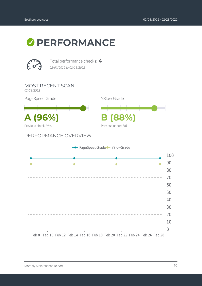



Total performance checks: **4** *02/01/2022 to 02/28/2022*

MOST RECENT SCAN

*02/28/2022*

PageSpeed Grade

**A (96%) B (88%)** Previous check: 96%

PERFORMANCE OVERVIEW



| 100<br>90<br>80<br>70<br>60<br>50<br>40<br>30<br>20                         | - PageSpeedGrade - YSlowGrade |    |  |  |  |
|-----------------------------------------------------------------------------|-------------------------------|----|--|--|--|
|                                                                             |                               |    |  |  |  |
|                                                                             |                               |    |  |  |  |
|                                                                             |                               |    |  |  |  |
|                                                                             |                               |    |  |  |  |
|                                                                             |                               |    |  |  |  |
|                                                                             |                               |    |  |  |  |
|                                                                             |                               |    |  |  |  |
|                                                                             |                               |    |  |  |  |
|                                                                             |                               |    |  |  |  |
|                                                                             |                               |    |  |  |  |
|                                                                             |                               | 10 |  |  |  |
| Feb 8 Feb 10 Feb 12 Feb 14 Feb 16 Feb 18 Feb 20 Feb 22 Feb 24 Feb 26 Feb 28 |                               |    |  |  |  |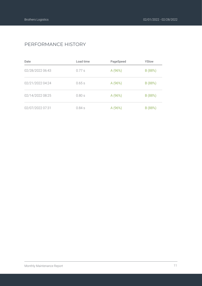#### PERFORMANCE HISTORY

| Date             | Load time | PageSpeed | YSlow   |
|------------------|-----------|-----------|---------|
| 02/28/2022 06:43 | $0.77$ s  | A (96%)   | B (88%) |
| 02/21/2022 04:24 | 0.65s     | A (96%)   | B (88%) |
| 02/14/2022 08:25 | 0.80s     | A (96%)   | B (88%) |
| 02/07/2022 07:31 | 0.84s     | A (96%)   | B (88%) |